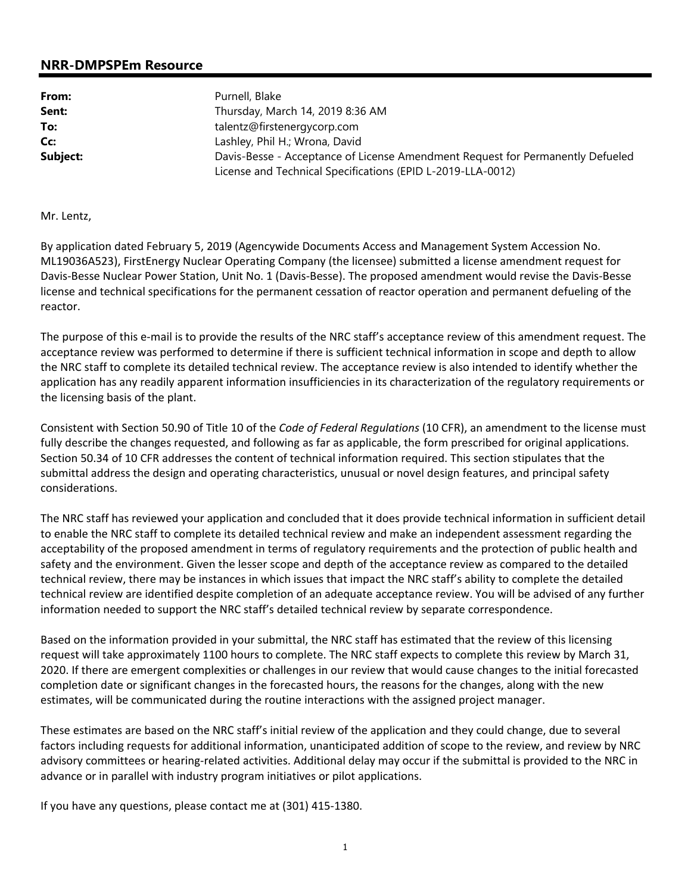## **NRR-DMPSPEm Resource**

| From:    | Purnell, Blake                                                                 |  |
|----------|--------------------------------------------------------------------------------|--|
| Sent:    | Thursday, March 14, 2019 8:36 AM                                               |  |
| To:      | talentz@firstenergycorp.com                                                    |  |
| Cc:      | Lashley, Phil H.; Wrona, David                                                 |  |
| Subject: | Davis-Besse - Acceptance of License Amendment Request for Permanently Defueled |  |
|          | License and Technical Specifications (EPID L-2019-LLA-0012)                    |  |

Mr. Lentz,

By application dated February 5, 2019 (Agencywide Documents Access and Management System Accession No. ML19036A523), FirstEnergy Nuclear Operating Company (the licensee) submitted a license amendment request for Davis-Besse Nuclear Power Station, Unit No. 1 (Davis-Besse). The proposed amendment would revise the Davis-Besse license and technical specifications for the permanent cessation of reactor operation and permanent defueling of the reactor.

The purpose of this e-mail is to provide the results of the NRC staff's acceptance review of this amendment request. The acceptance review was performed to determine if there is sufficient technical information in scope and depth to allow the NRC staff to complete its detailed technical review. The acceptance review is also intended to identify whether the application has any readily apparent information insufficiencies in its characterization of the regulatory requirements or the licensing basis of the plant.

Consistent with Section 50.90 of Title 10 of the *Code of Federal Regulations* (10 CFR), an amendment to the license must fully describe the changes requested, and following as far as applicable, the form prescribed for original applications. Section 50.34 of 10 CFR addresses the content of technical information required. This section stipulates that the submittal address the design and operating characteristics, unusual or novel design features, and principal safety considerations.

The NRC staff has reviewed your application and concluded that it does provide technical information in sufficient detail to enable the NRC staff to complete its detailed technical review and make an independent assessment regarding the acceptability of the proposed amendment in terms of regulatory requirements and the protection of public health and safety and the environment. Given the lesser scope and depth of the acceptance review as compared to the detailed technical review, there may be instances in which issues that impact the NRC staff's ability to complete the detailed technical review are identified despite completion of an adequate acceptance review. You will be advised of any further information needed to support the NRC staff's detailed technical review by separate correspondence.

Based on the information provided in your submittal, the NRC staff has estimated that the review of this licensing request will take approximately 1100 hours to complete. The NRC staff expects to complete this review by March 31, 2020. If there are emergent complexities or challenges in our review that would cause changes to the initial forecasted completion date or significant changes in the forecasted hours, the reasons for the changes, along with the new estimates, will be communicated during the routine interactions with the assigned project manager.

These estimates are based on the NRC staff's initial review of the application and they could change, due to several factors including requests for additional information, unanticipated addition of scope to the review, and review by NRC advisory committees or hearing-related activities. Additional delay may occur if the submittal is provided to the NRC in advance or in parallel with industry program initiatives or pilot applications.

If you have any questions, please contact me at (301) 415-1380.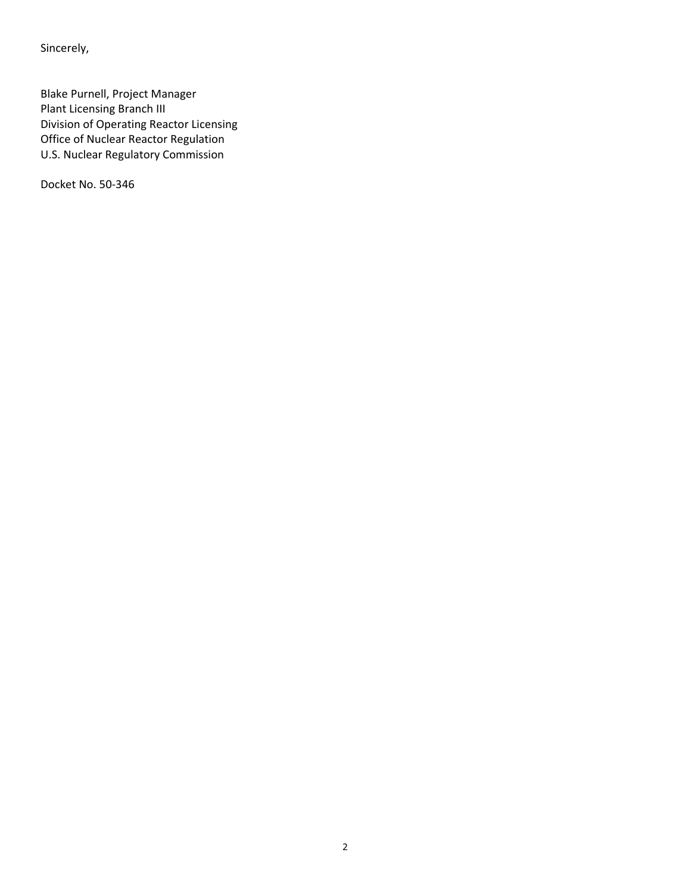Sincerely,

Blake Purnell, Project Manager Plant Licensing Branch III Division of Operating Reactor Licensing Office of Nuclear Reactor Regulation U.S. Nuclear Regulatory Commission

Docket No. 50-346